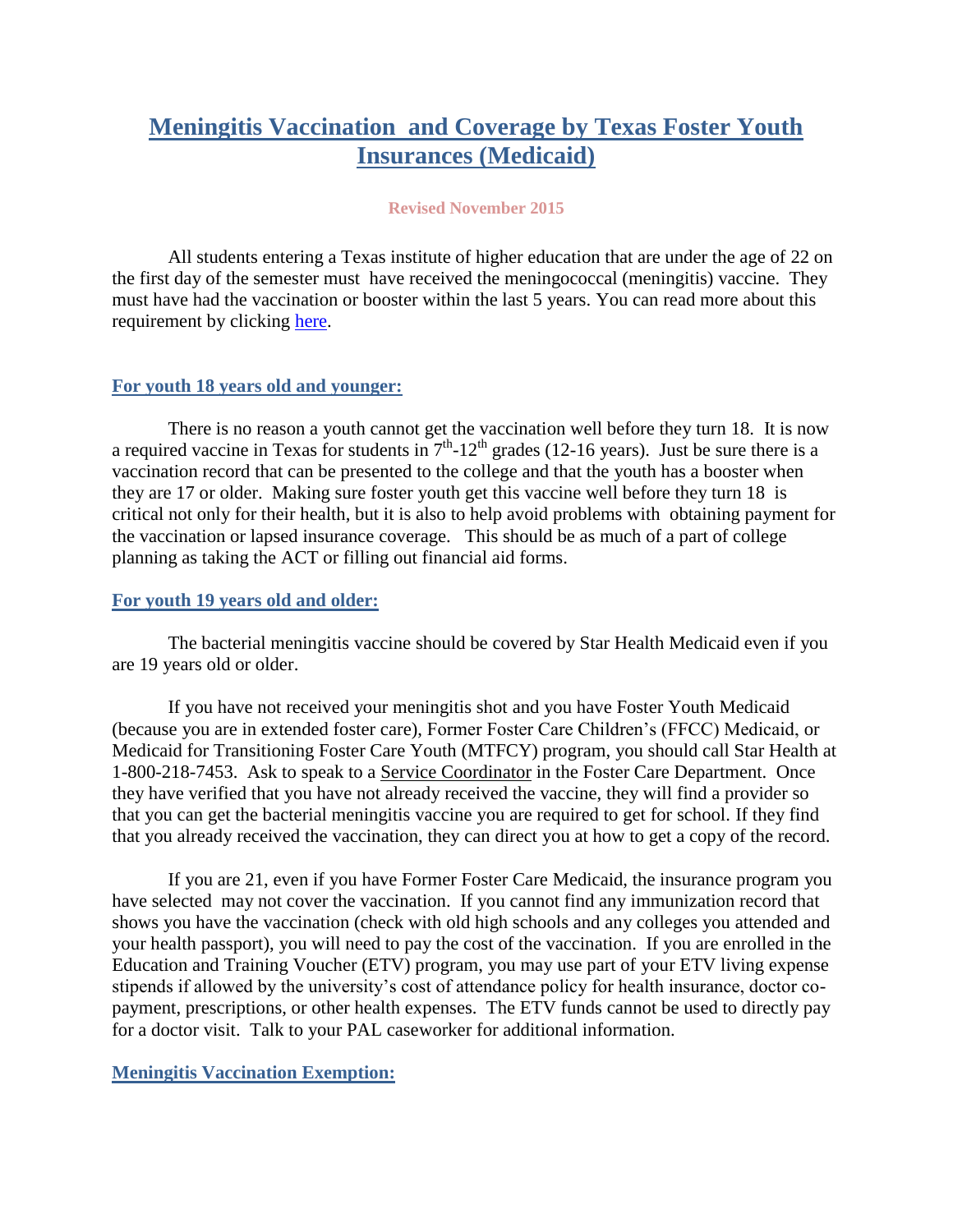# **Meningitis Vaccination and Coverage by Texas Foster Youth Insurances (Medicaid)**

#### **Revised November 2015**

All students entering a Texas institute of higher education that are under the age of 22 on the first day of the semester must have received the meningococcal (meningitis) vaccine. They must have had the vaccination or booster within the last 5 years. You can read more about this requirement by clicking [here.](http://collegevaccinerequirements.com/requirements.php)

## **For youth 18 years old and younger:**

There is no reason a youth cannot get the vaccination well before they turn 18. It is now a required vaccine in Texas for students in  $7<sup>th</sup>$ -12<sup>th</sup> grades (12-16 years). Just be sure there is a vaccination record that can be presented to the college and that the youth has a booster when they are 17 or older. Making sure foster youth get this vaccine well before they turn 18 is critical not only for their health, but it is also to help avoid problems with obtaining payment for the vaccination or lapsed insurance coverage. This should be as much of a part of college planning as taking the ACT or filling out financial aid forms.

## **For youth 19 years old and older:**

The bacterial meningitis vaccine should be covered by Star Health Medicaid even if you are 19 years old or older.

If you have not received your meningitis shot and you have Foster Youth Medicaid (because you are in extended foster care), Former Foster Care Children's (FFCC) Medicaid, or Medicaid for Transitioning Foster Care Youth (MTFCY) program, you should call Star Health at 1-800-218-7453. Ask to speak to a Service Coordinator in the Foster Care Department. Once they have verified that you have not already received the vaccine, they will find a provider so that you can get the bacterial meningitis vaccine you are required to get for school. If they find that you already received the vaccination, they can direct you at how to get a copy of the record.

If you are 21, even if you have Former Foster Care Medicaid, the insurance program you have selected may not cover the vaccination. If you cannot find any immunization record that shows you have the vaccination (check with old high schools and any colleges you attended and your health passport), you will need to pay the cost of the vaccination. If you are enrolled in the Education and Training Voucher (ETV) program, you may use part of your ETV living expense stipends if allowed by the university's cost of attendance policy for health insurance, doctor copayment, prescriptions, or other health expenses. The ETV funds cannot be used to directly pay for a doctor visit. Talk to your PAL caseworker for additional information.

## **Meningitis Vaccination Exemption:**